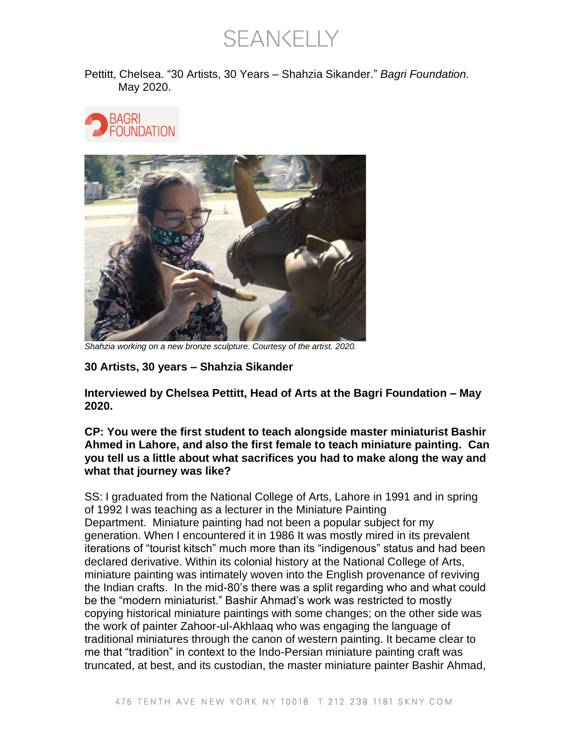**SEANKELLY** 

Pettitt, Chelsea. "30 Artists, 30 Years – Shahzia Sikander." *Bagri Foundation.*  May 2020.





*Shahzia working on a new bronze sculpture. Courtesy of the artist. 2020.*

**30 Artists, 30 years – Shahzia Sikander**

**Interviewed by Chelsea Pettitt, Head of Arts at the Bagri Foundation – May 2020.**

**CP: You were the first student to teach alongside master miniaturist Bashir Ahmed in Lahore, and also the first female to teach miniature painting. Can you tell us a little about what sacrifices you had to make along the way and what that journey was like?**

SS: I graduated from the National College of Arts, Lahore in 1991 and in spring of 1992 I was teaching as a lecturer in the Miniature Painting Department. Miniature painting had not been a popular subject for my generation. When I encountered it in 1986 It was mostly mired in its prevalent iterations of "tourist kitsch" much more than its "indigenous" status and had been declared derivative. Within its colonial history at the National College of Arts, miniature painting was intimately woven into the English provenance of reviving the Indian crafts. In the mid-80's there was a split regarding who and what could be the "modern miniaturist." Bashir Ahmad's work was restricted to mostly copying historical miniature paintings with some changes; on the other side was the work of painter Zahoor-ul-Akhlaaq who was engaging the language of traditional miniatures through the canon of western painting. It became clear to me that "tradition" in context to the Indo-Persian miniature painting craft was truncated, at best, and its custodian, the master miniature painter Bashir Ahmad,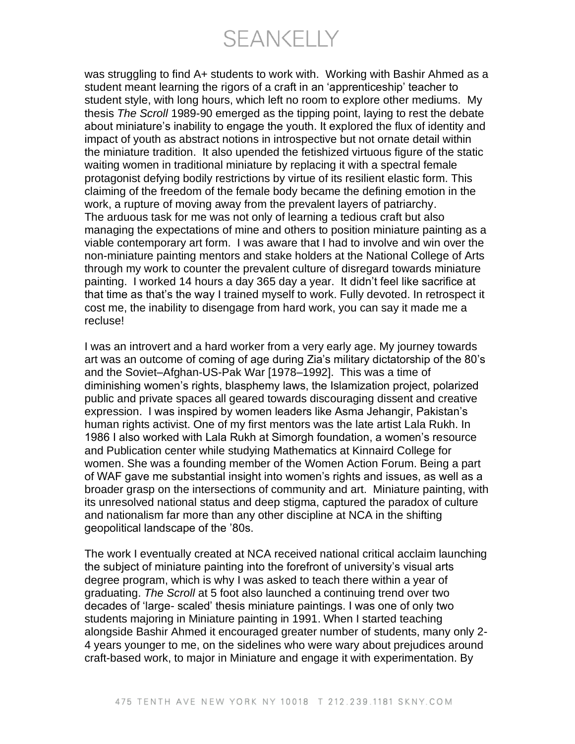SEANKELLY

was struggling to find A+ students to work with. Working with Bashir Ahmed as a student meant learning the rigors of a craft in an 'apprenticeship' teacher to student style, with long hours, which left no room to explore other mediums. My thesis *The Scroll* 1989-90 emerged as the tipping point, laying to rest the debate about miniature's inability to engage the youth. It explored the flux of identity and impact of youth as abstract notions in introspective but not ornate detail within the miniature tradition. It also upended the fetishized virtuous figure of the static waiting women in traditional miniature by replacing it with a spectral female protagonist defying bodily restrictions by virtue of its resilient elastic form. This claiming of the freedom of the female body became the defining emotion in the work, a rupture of moving away from the prevalent layers of patriarchy. The arduous task for me was not only of learning a tedious craft but also managing the expectations of mine and others to position miniature painting as a viable contemporary art form. I was aware that I had to involve and win over the non-miniature painting mentors and stake holders at the National College of Arts through my work to counter the prevalent culture of disregard towards miniature painting. I worked 14 hours a day 365 day a year. It didn't feel like sacrifice at that time as that's the way I trained myself to work. Fully devoted. In retrospect it cost me, the inability to disengage from hard work, you can say it made me a recluse!

I was an introvert and a hard worker from a very early age. My journey towards art was an outcome of coming of age during Zia's military dictatorship of the 80's and the Soviet–Afghan-US-Pak War [1978–1992]. This was a time of diminishing women's rights, blasphemy laws, the Islamization project, polarized public and private spaces all geared towards discouraging dissent and creative expression. I was inspired by women leaders like Asma Jehangir, Pakistan's human rights activist. One of my first mentors was the late artist Lala Rukh. In 1986 I also worked with Lala Rukh at Simorgh foundation, a women's resource and Publication center while studying Mathematics at Kinnaird College for women. She was a founding member of the Women Action Forum. Being a part of WAF gave me substantial insight into women's rights and issues, as well as a broader grasp on the intersections of community and art. Miniature painting, with its unresolved national status and deep stigma, captured the paradox of culture and nationalism far more than any other discipline at NCA in the shifting geopolitical landscape of the '80s.

The work I eventually created at NCA received national critical acclaim launching the subject of miniature painting into the forefront of university's visual arts degree program, which is why I was asked to teach there within a year of graduating. *The Scroll* at 5 foot also launched a continuing trend over two decades of 'large- scaled' thesis miniature paintings. I was one of only two students majoring in Miniature painting in 1991. When I started teaching alongside Bashir Ahmed it encouraged greater number of students, many only 2- 4 years younger to me, on the sidelines who were wary about prejudices around craft-based work, to major in Miniature and engage it with experimentation. By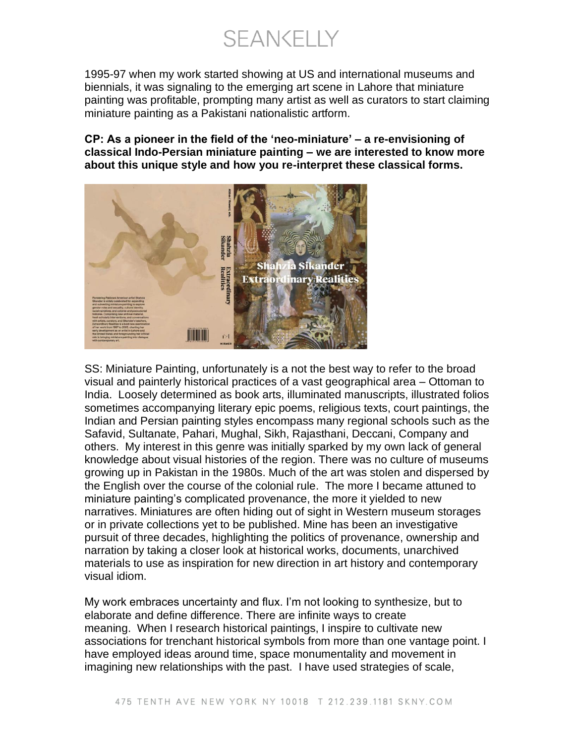**SEANKELLY** 

1995-97 when my work started showing at US and international museums and biennials, it was signaling to the emerging art scene in Lahore that miniature painting was profitable, prompting many artist as well as curators to start claiming miniature painting as a Pakistani nationalistic artform.

**CP: As a pioneer in the field of the 'neo-miniature' – a re-envisioning of classical Indo-Persian miniature painting – we are interested to know more about this unique style and how you re-interpret these classical forms.**



SS: Miniature Painting, unfortunately is a not the best way to refer to the broad visual and painterly historical practices of a vast geographical area – Ottoman to India. Loosely determined as book arts, illuminated manuscripts, illustrated folios sometimes accompanying literary epic poems, religious texts, court paintings, the Indian and Persian painting styles encompass many regional schools such as the Safavid, Sultanate, Pahari, Mughal, Sikh, Rajasthani, Deccani, Company and others. My interest in this genre was initially sparked by my own lack of general knowledge about visual histories of the region. There was no culture of museums growing up in Pakistan in the 1980s. Much of the art was stolen and dispersed by the English over the course of the colonial rule. The more I became attuned to miniature painting's complicated provenance, the more it yielded to new narratives. Miniatures are often hiding out of sight in Western museum storages or in private collections yet to be published. Mine has been an investigative pursuit of three decades, highlighting the politics of provenance, ownership and narration by taking a closer look at historical works, documents, unarchived materials to use as inspiration for new direction in art history and contemporary visual idiom.

My work embraces uncertainty and flux. I'm not looking to synthesize, but to elaborate and define difference. There are infinite ways to create meaning. When I research historical paintings, I inspire to cultivate new associations for trenchant historical symbols from more than one vantage point. I have employed ideas around time, space monumentality and movement in imagining new relationships with the past. I have used strategies of scale,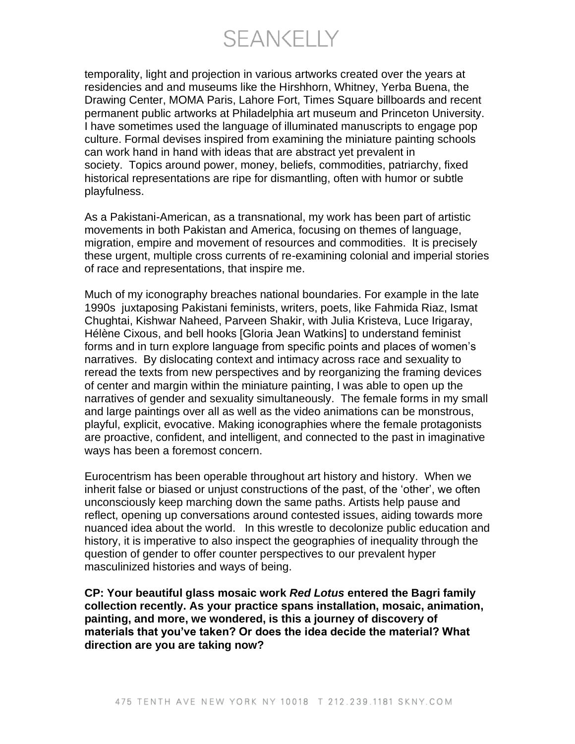SEANKELLY

temporality, light and projection in various artworks created over the years at residencies and and museums like the Hirshhorn, Whitney, Yerba Buena, the Drawing Center, MOMA Paris, Lahore Fort, Times Square billboards and recent permanent public artworks at Philadelphia art museum and Princeton University. I have sometimes used the language of illuminated manuscripts to engage pop culture. Formal devises inspired from examining the miniature painting schools can work hand in hand with ideas that are abstract yet prevalent in society. Topics around power, money, beliefs, commodities, patriarchy, fixed historical representations are ripe for dismantling, often with humor or subtle playfulness.

As a Pakistani-American, as a transnational, my work has been part of artistic movements in both Pakistan and America, focusing on themes of language, migration, empire and movement of resources and commodities. It is precisely these urgent, multiple cross currents of re-examining colonial and imperial stories of race and representations, that inspire me.

Much of my iconography breaches national boundaries. For example in the late 1990s juxtaposing Pakistani feminists, writers, poets, like Fahmida Riaz, Ismat Chughtai, Kishwar Naheed, Parveen Shakir, with Julia Kristeva, Luce Irigaray, Hélène Cixous, and bell hooks [Gloria Jean Watkins] to understand feminist forms and in turn explore language from specific points and places of women's narratives. By dislocating context and intimacy across race and sexuality to reread the texts from new perspectives and by reorganizing the framing devices of center and margin within the miniature painting, I was able to open up the narratives of gender and sexuality simultaneously. The female forms in my small and large paintings over all as well as the video animations can be monstrous, playful, explicit, evocative. Making iconographies where the female protagonists are proactive, confident, and intelligent, and connected to the past in imaginative ways has been a foremost concern.

Eurocentrism has been operable throughout art history and history. When we inherit false or biased or unjust constructions of the past, of the 'other', we often unconsciously keep marching down the same paths. Artists help pause and reflect, opening up conversations around contested issues, aiding towards more nuanced idea about the world. In this wrestle to decolonize public education and history, it is imperative to also inspect the geographies of inequality through the question of gender to offer counter perspectives to our prevalent hyper masculinized histories and ways of being.

**CP: Your beautiful glass mosaic work** *Red Lotus* **entered the Bagri family collection recently. As your practice spans installation, mosaic, animation, painting, and more, we wondered, is this a journey of discovery of materials that you've taken? Or does the idea decide the material? What direction are you are taking now?**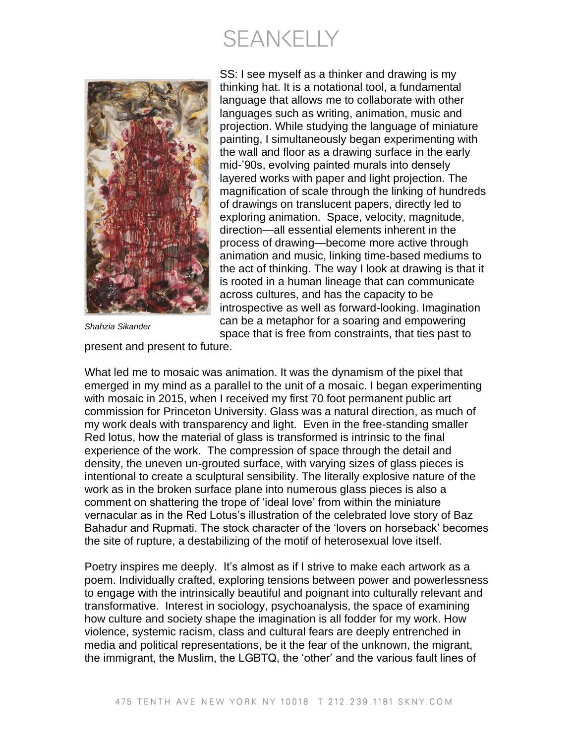## **SEANKELLY**



*Shahzia Sikander*

SS: I see myself as a thinker and drawing is my thinking hat. It is a notational tool, a fundamental language that allows me to collaborate with other languages such as writing, animation, music and projection. While studying the language of miniature painting, I simultaneously began experimenting with the wall and floor as a drawing surface in the early mid-'90s, evolving painted murals into densely layered works with paper and light projection. The magnification of scale through the linking of hundreds of drawings on translucent papers, directly led to exploring animation. Space, velocity, magnitude, direction—all essential elements inherent in the process of drawing—become more active through animation and music, linking time-based mediums to the act of thinking. The way I look at drawing is that it is rooted in a human lineage that can communicate across cultures, and has the capacity to be introspective as well as forward-looking. Imagination can be a metaphor for a soaring and empowering space that is free from constraints, that ties past to

present and present to future.

What led me to mosaic was animation. It was the dynamism of the pixel that emerged in my mind as a parallel to the unit of a mosaic. I began experimenting with mosaic in 2015, when I received my first 70 foot permanent public art commission for Princeton University. Glass was a natural direction, as much of my work deals with transparency and light. Even in the free-standing smaller Red lotus, how the material of glass is transformed is intrinsic to the final experience of the work. The compression of space through the detail and density, the uneven un-grouted surface, with varying sizes of glass pieces is intentional to create a sculptural sensibility. The literally explosive nature of the work as in the broken surface plane into numerous glass pieces is also a comment on shattering the trope of 'ideal love' from within the miniature vernacular as in the Red Lotus's illustration of the celebrated love story of Baz Bahadur and Rupmati. The stock character of the 'lovers on horseback' becomes the site of rupture, a destabilizing of the motif of heterosexual love itself.

Poetry inspires me deeply. It's almost as if I strive to make each artwork as a poem. Individually crafted, exploring tensions between power and powerlessness to engage with the intrinsically beautiful and poignant into culturally relevant and transformative. Interest in sociology, psychoanalysis, the space of examining how culture and society shape the imagination is all fodder for my work. How violence, systemic racism, class and cultural fears are deeply entrenched in media and political representations, be it the fear of the unknown, the migrant, the immigrant, the Muslim, the LGBTQ, the 'other' and the various fault lines of